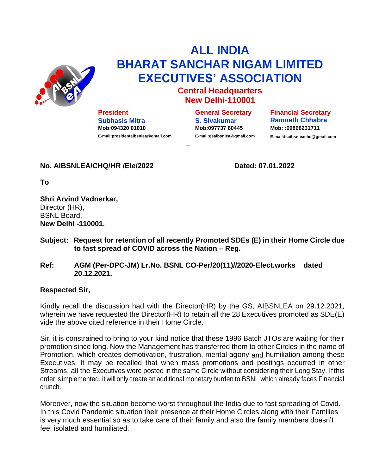

## **ALL INDIA BHARAT SANCHAR NIGAM LIMITED EXECUTIVES' ASSOCIATION**

## **Central Headquarters New Delhi-110001**

**President Subhasis Mitra Mob:094320 01010 E-mail:presidentaibsnlea@gmail.com** **General Secretary S. Sivakumar Mob:097737 60445 E-mail:gsaibsnlea@gmail.com** **Financial Secretary Ramnath Chhabra Mob:** :**09868231711 E-mail:fsaibsnleachq@gmail.com**

**No. AIBSNLEA/CHQ/HR /Ele/2022 Dated: 07.01.2022**

**To**

**Shri Arvind Vadnerkar,** Director (HR), BSNL Board, **New Delhi -110001.**

**Subject: Request for retention of all recently Promoted SDEs (E) in their Home Circle due to fast spread of COVID across the Nation – Reg.**

\_

**Ref: AGM (Per-DPC-JM) Lr.No. BSNL CO-Per/20(11)//2020-Elect.works dated 20.12.2021.**

## **Respected Sir,**

Kindly recall the discussion had with the Director(HR) by the GS, AIBSNLEA on 29.12.2021, wherein we have requested the Director(HR) to retain all the 28 Executives promoted as SDE(E) vide the above cited reference in their Home Circle.

Sir, it is constrained to bring to your kind notice that these 1996 Batch JTOs are waiting for their promotion since long. Now the Management has transferred them to other Circles in the name of Promotion, which creates demotivation, frustration, mental agony and humiliation among these Executives. It may be recalled that when mass promotions and postings occurred in other Streams, all the Executives were posted in the same Circle without considering their Long Stay. If this order is implemented, it will only create an additional monetary burden to BSNL which already faces Financial crunch.

Moreover, now the situation become worst throughout the India due to fast spreading of Covid. In this Covid Pandemic situation their presence at their Home Circles along with their Families is very much essential so as to take care of their family and also the family members doesn't feel isolated and humiliated.